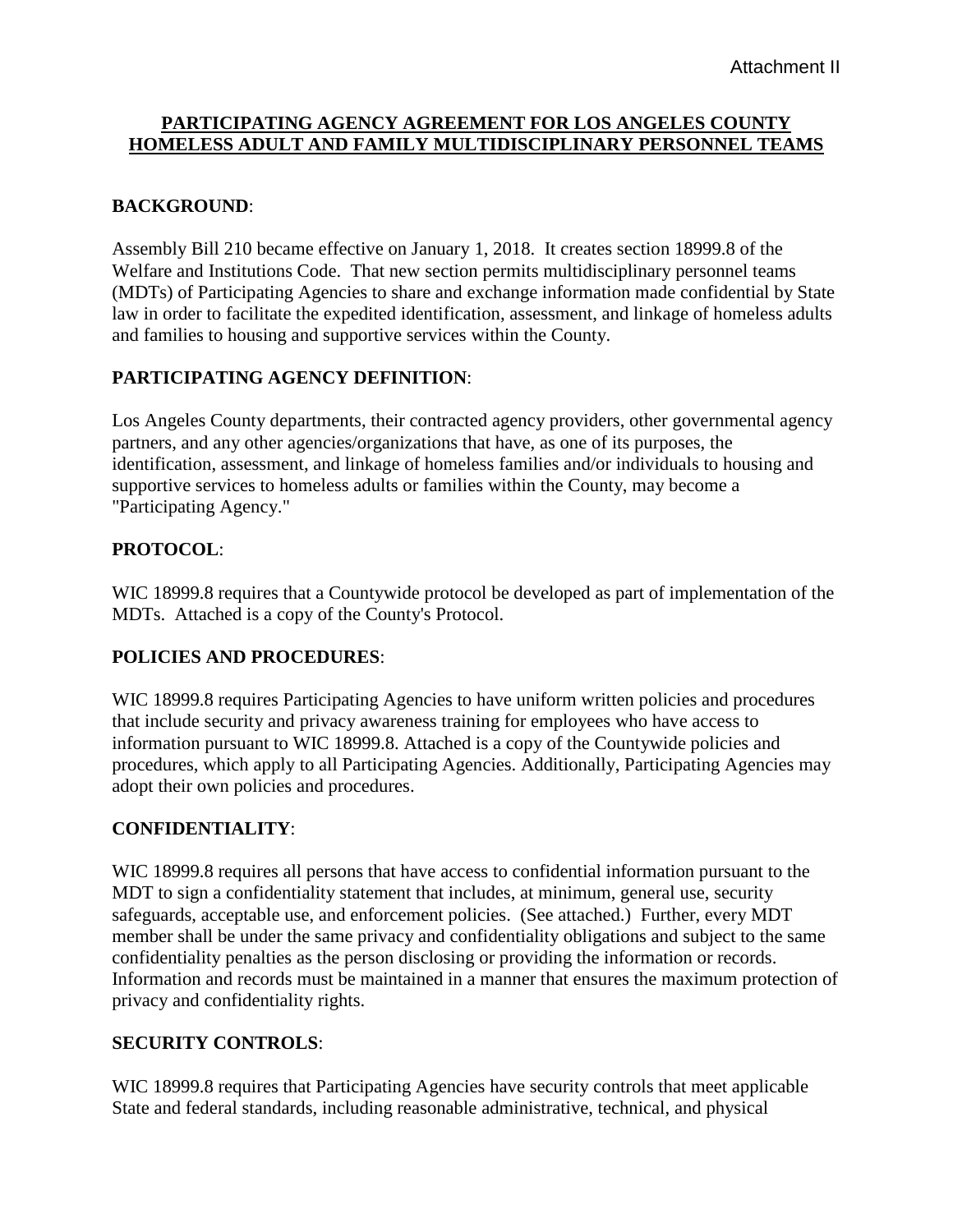### **PARTICIPATING AGENCY AGREEMENT FOR LOS ANGELES COUNTY HOMELESS ADULT AND FAMILY MULTIDISCIPLINARY PERSONNEL TEAMS**

### **BACKGROUND**:

Assembly Bill 210 became effective on January 1, 2018. It creates section 18999.8 of the Welfare and Institutions Code. That new section permits multidisciplinary personnel teams (MDTs) of Participating Agencies to share and exchange information made confidential by State law in order to facilitate the expedited identification, assessment, and linkage of homeless adults and families to housing and supportive services within the County.

## **PARTICIPATING AGENCY DEFINITION**:

Los Angeles County departments, their contracted agency providers, other governmental agency partners, and any other agencies/organizations that have, as one of its purposes, the identification, assessment, and linkage of homeless families and/or individuals to housing and supportive services to homeless adults or families within the County, may become a "Participating Agency."

### **PROTOCOL**:

WIC 18999.8 requires that a Countywide protocol be developed as part of implementation of the MDTs. Attached is a copy of the County's Protocol.

### **POLICIES AND PROCEDURES**:

WIC 18999.8 requires Participating Agencies to have uniform written policies and procedures that include security and privacy awareness training for employees who have access to information pursuant to WIC 18999.8. Attached is a copy of the Countywide policies and procedures, which apply to all Participating Agencies. Additionally, Participating Agencies may adopt their own policies and procedures.

### **CONFIDENTIALITY**:

WIC 18999.8 requires all persons that have access to confidential information pursuant to the MDT to sign a confidentiality statement that includes, at minimum, general use, security safeguards, acceptable use, and enforcement policies. (See attached.) Further, every MDT member shall be under the same privacy and confidentiality obligations and subject to the same confidentiality penalties as the person disclosing or providing the information or records. Information and records must be maintained in a manner that ensures the maximum protection of privacy and confidentiality rights.

# **SECURITY CONTROLS**:

WIC 18999.8 requires that Participating Agencies have security controls that meet applicable State and federal standards, including reasonable administrative, technical, and physical